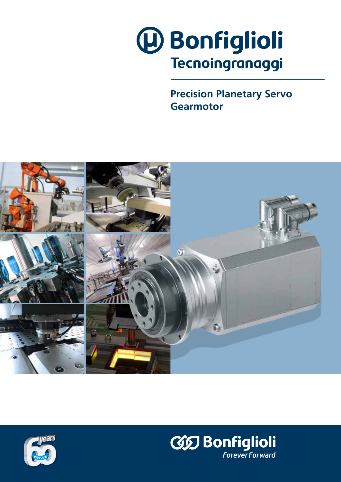

**Precision Planetary Servo Gearmotor**





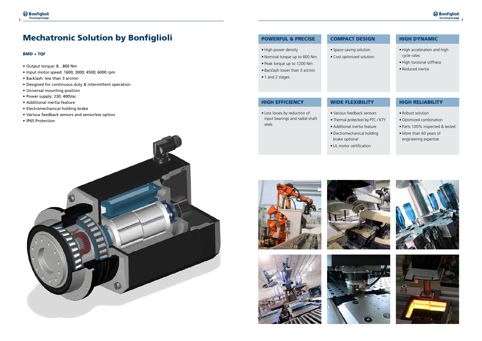# **Mechatronic Solution by Bonfiglioli** POWERFUL & PRECISE



#### BMD + TQF

- Output torque: 8…800 Nm
- Input motor speed: 1600; 3000; 4500; 6000 rpm
- Backlash: less than 3 arcmin
- Designed for continuous duty & intermittent operation
- Universal mounting position
- Power supply: 230; 400Vac
- Additional inertia feature
- Electromechanical holding brake
- Various feedback sensors and sensorless option
- IP65 Protection



- High power density
- Nominal torque up to 800 Nm
- Peak torque up to 1200 Nm
- Backlash lower than 3 arcmin
- 1 and 2 stages

HIGH EFFICIENCY

#### COMPACT DESIGN

#### WIDE FLEXIBILITY

### HIGH DYNAMIC

### HIGH RELIABILITY

## • Space-saving solution

• Cost optimized solution

- Less losses by reduction of input bearings and radial shaft seals
- Additional inertia feature
- Electromechanical holding brake optional
- UL motor certification









• Various feedback sensors • Thermal protection by PTC / KTY

- High acceleration and high cycle rates
- High torsional stiffness
- Reduced inertia

- Robust solution
- Optimized combination
- Parts 100% inspected & tested
- More than 60 years of engineering expertise